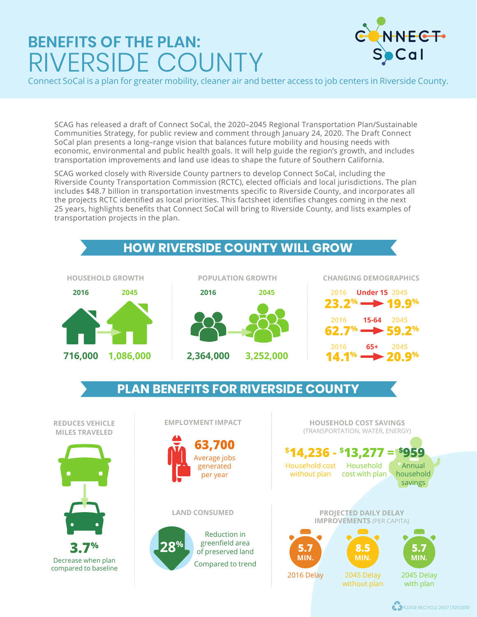## **BENEFITS OF THE PLAN:** RIVERSIDE COUNTY



Connect SoCal is a plan for greater mobility, cleaner air and better access to job centers in Riverside County.

SCAG has released a draft of Connect SoCal, the 2020–2045 Regional Transportation Plan/Sustainable Communities Strategy, for public review and comment through January 24, 2020. The Draft Connect SoCal plan presents a long–range vision that balances future mobility and housing needs with economic, environmental and public health goals. It will help guide the region's growth, and includes transportation improvements and land use ideas to shape the future of Southern California.

SCAG worked closely with Riverside County partners to develop Connect SoCal, including the Riverside County Transportation Commission (RCTC), elected officials and local jurisdictions. The plan includes \$48.7 billion in transportation investments specific to Riverside County, and incorporates all the projects RCTC identified as local priorities. This factsheet identifies changes coming in the next 25 years, highlights benefits that Connect SoCal will bring to Riverside County, and lists examples of transportation projects in the plan.



**A PLEASE RECYCLE 2907 | 11202019**